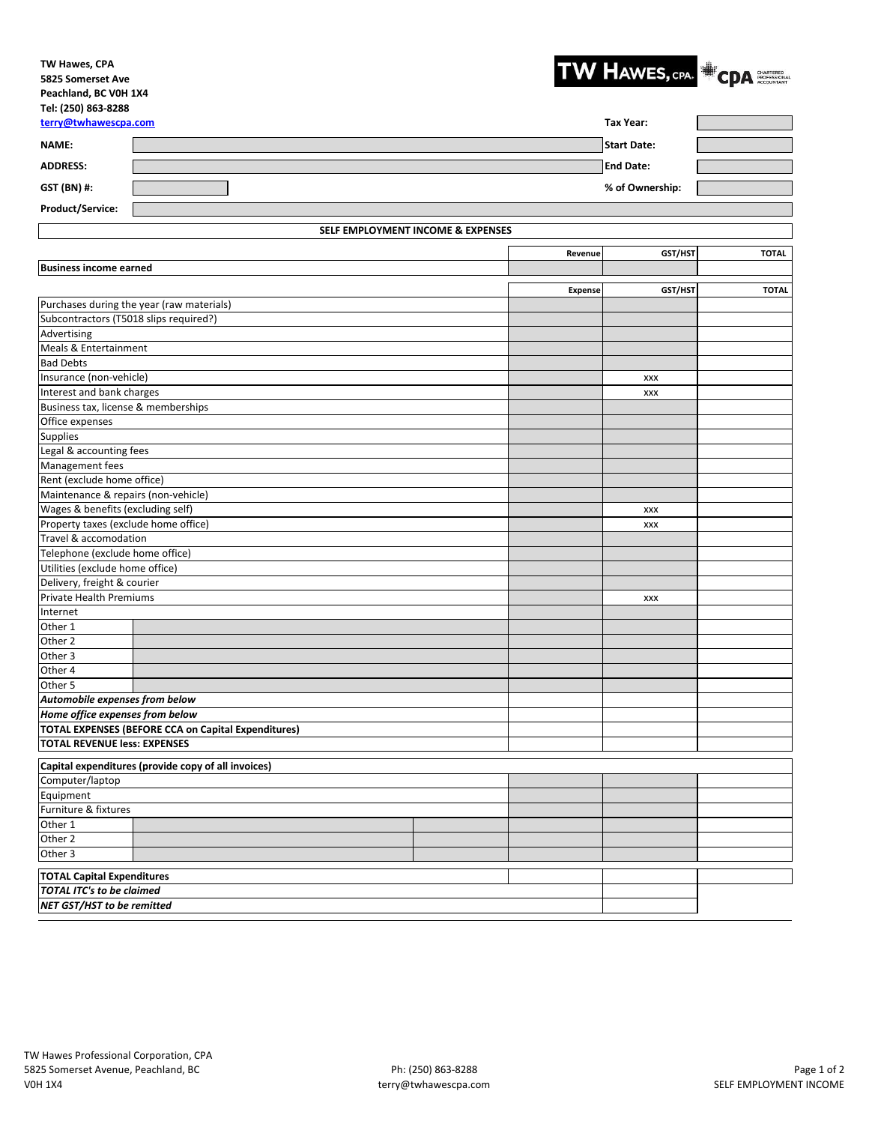## **TW Hawes, CPA 5825 Somerset Ave Peachland, BC V0H 1X4 Tel: (250) 863-8288**



| 1011 1539 1693 0600<br>terry@twhawescpa.com |                                                            |                    |                  | <b>Tax Year:</b> |              |  |
|---------------------------------------------|------------------------------------------------------------|--------------------|------------------|------------------|--------------|--|
| NAME:                                       |                                                            | <b>Start Date:</b> |                  |                  |              |  |
| <b>ADDRESS:</b>                             |                                                            |                    | <b>End Date:</b> |                  |              |  |
| GST (BN) #:                                 |                                                            |                    | % of Ownership:  |                  |              |  |
| Product/Service:                            |                                                            |                    |                  |                  |              |  |
|                                             |                                                            |                    |                  |                  |              |  |
|                                             | SELF EMPLOYMENT INCOME & EXPENSES                          |                    |                  |                  |              |  |
|                                             |                                                            |                    | Revenue          | GST/HST          | <b>TOTAL</b> |  |
| <b>Business income earned</b>               |                                                            |                    |                  |                  |              |  |
|                                             |                                                            |                    | <b>Expense</b>   | GST/HST          | <b>TOTAL</b> |  |
|                                             | Purchases during the year (raw materials)                  |                    |                  |                  |              |  |
| Subcontractors (T5018 slips required?)      |                                                            |                    |                  |                  |              |  |
| Advertising                                 |                                                            |                    |                  |                  |              |  |
| Meals & Entertainment                       |                                                            |                    |                  |                  |              |  |
| <b>Bad Debts</b>                            |                                                            |                    |                  |                  |              |  |
| Insurance (non-vehicle)                     |                                                            |                    |                  | XXX              |              |  |
| Interest and bank charges                   |                                                            |                    |                  | XXX              |              |  |
| Business tax, license & memberships         |                                                            |                    |                  |                  |              |  |
| Office expenses                             |                                                            |                    |                  |                  |              |  |
| <b>Supplies</b>                             |                                                            |                    |                  |                  |              |  |
| Legal & accounting fees                     |                                                            |                    |                  |                  |              |  |
| Management fees                             |                                                            |                    |                  |                  |              |  |
| Rent (exclude home office)                  |                                                            |                    |                  |                  |              |  |
| Maintenance & repairs (non-vehicle)         |                                                            |                    |                  |                  |              |  |
| Wages & benefits (excluding self)           |                                                            |                    |                  | XXX              |              |  |
| Property taxes (exclude home office)        |                                                            |                    | XXX              |                  |              |  |
| Travel & accomodation                       |                                                            |                    |                  |                  |              |  |
| Telephone (exclude home office)             |                                                            |                    |                  |                  |              |  |
| Utilities (exclude home office)             |                                                            |                    |                  |                  |              |  |
| Delivery, freight & courier                 |                                                            |                    |                  |                  |              |  |
| <b>Private Health Premiums</b>              |                                                            |                    |                  | XXX              |              |  |
| Internet                                    |                                                            |                    |                  |                  |              |  |
| Other 1                                     |                                                            |                    |                  |                  |              |  |
| Other 2                                     |                                                            |                    |                  |                  |              |  |
| Other 3                                     |                                                            |                    |                  |                  |              |  |
| Other 4                                     |                                                            |                    |                  |                  |              |  |
| Other 5                                     |                                                            |                    |                  |                  |              |  |
| Automobile expenses from below              |                                                            |                    |                  |                  |              |  |
| Home office expenses from below             |                                                            |                    |                  |                  |              |  |
|                                             | <b>TOTAL EXPENSES (BEFORE CCA on Capital Expenditures)</b> |                    |                  |                  |              |  |
| <b>TOTAL REVENUE less: EXPENSES</b>         |                                                            |                    |                  |                  |              |  |
|                                             | Capital expenditures (provide copy of all invoices)        |                    |                  |                  |              |  |
| Computer/laptop                             |                                                            |                    |                  |                  |              |  |
| Equipment                                   |                                                            |                    |                  |                  |              |  |
| Furniture & fixtures                        |                                                            |                    |                  |                  |              |  |
| Other 1                                     |                                                            |                    |                  |                  |              |  |
| Other 2                                     |                                                            |                    |                  |                  |              |  |
| Other 3                                     |                                                            |                    |                  |                  |              |  |
|                                             |                                                            |                    |                  |                  |              |  |
| <b>TOTAL Capital Expenditures</b>           |                                                            |                    |                  |                  |              |  |
| <b>TOTAL ITC's to be claimed</b>            |                                                            |                    |                  |                  |              |  |
| NET GST/HST to be remitted                  |                                                            |                    |                  |                  |              |  |